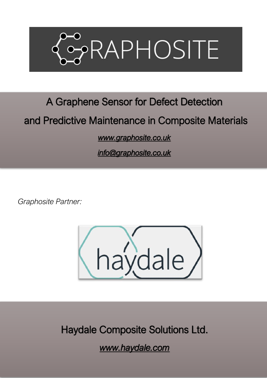

# A Graphene Sensor for Defect Detection

## and Predictive Maintenance in Composite Materials

### *[www.graphosite.co.uk](http://www.graphosite.co.uk/)*

*[info@graphosite.co.uk](mailto:info@graphosite.co.uk)* 

*Graphosite Partner:*



Haydale Composite Solutions Ltd.

*www.haydale.com*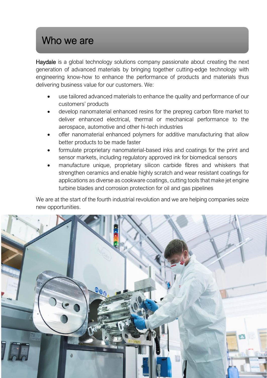# Who we are

Haydale is a global technology solutions company passionate about creating the next generation of advanced materials by bringing together cutting-edge technology with engineering know-how to enhance the performance of products and materials thus delivering business value for our customers. We:

- use tailored advanced materials to enhance the quality and performance of our customers' products
- develop nanomaterial enhanced resins for the prepreg carbon fibre market to deliver enhanced electrical, thermal or mechanical performance to the aerospace, automotive and other hi-tech industries
- offer nanomaterial enhanced polymers for additive manufacturing that allow better products to be made faster
- formulate proprietary nanomaterial-based inks and coatings for the print and sensor markets, including regulatory approved ink for biomedical sensors
- manufacture unique, proprietary silicon carbide fibres and whiskers that strengthen ceramics and enable highly scratch and wear resistant coatings for applications as diverse as cookware coatings, cutting tools that make jet engine turbine blades and corrosion protection for oil and gas pipelines

We are at the start of the fourth industrial revolution and we are helping companies seize new opportunities.

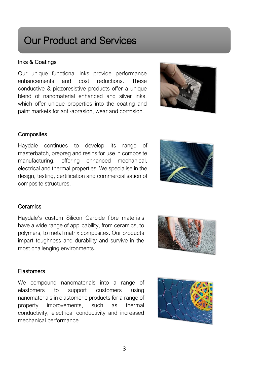# Our Product and Services

### Inks & Coatings

Our unique functional inks provide performance enhancements and cost reductions. These conductive & piezoresistive products offer a unique blend of nanomaterial enhanced and silver inks, which offer unique properties into the coating and paint markets for anti-abrasion, wear and corrosion.



### **Composites**

Haydale continues to develop its range of masterbatch, prepreg and resins for use in composite manufacturing, offering enhanced mechanical, electrical and thermal properties. We specialise in the design, testing, certification and commercialisation of composite structures.



### **Ceramics**

Haydale's custom Silicon Carbide fibre materials have a wide range of applicability, from ceramics, to polymers, to metal matrix composites. Our products impart toughness and durability and survive in the most challenging environments.



#### Elastomers

We compound nanomaterials into a range of elastomers to support customers using nanomaterials in elastomeric products for a range of property improvements, such as thermal conductivity, electrical conductivity and increased mechanical performance